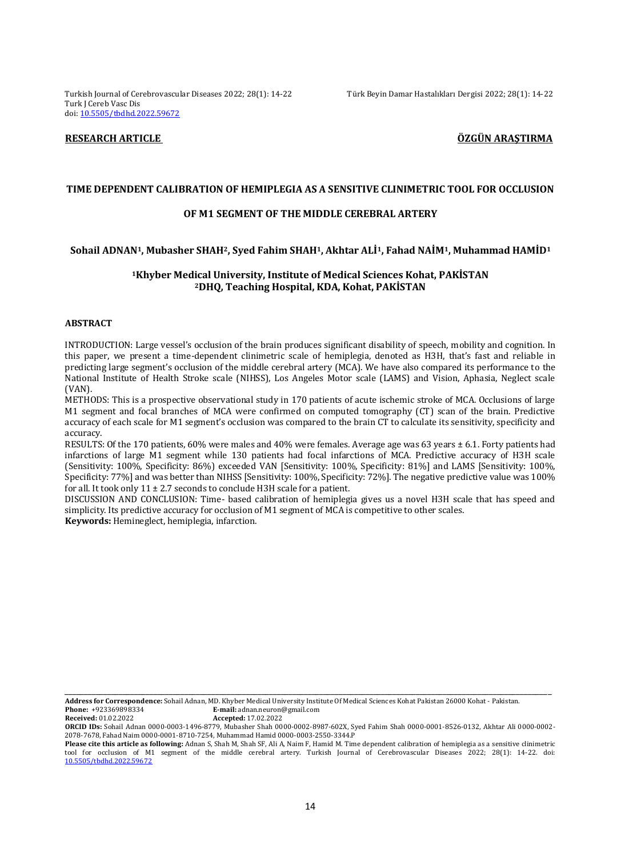Turkish Journal of Cerebrovascular Diseases 2022; 28(1): 14-22 Türk Beyin Damar Hastalıkları Dergisi 2022; 28(1): 14-22 Turk J Cereb Vasc Dis doi: [10.5505/tbdhd.2022.59672](https://dx.doi.org/10.5505/tbdhd.2022.59672)

# **RESEARCH ARTICLE ÖZGÜN ARAŞTIRMA**

#### **TIME DEPENDENT CALIBRATION OF HEMIPLEGIA AS A SENSITIVE CLINIMETRIC TOOL FOR OCCLUSION**

#### **OF M1 SEGMENT OF THE MIDDLE CEREBRAL ARTERY**

# **Sohail ADNAN1, Mubasher SHAH2, Syed Fahim SHAH1, Akhtar ALİ1, Fahad NAİM1, Muhammad HAMİD<sup>1</sup>**

# **<sup>1</sup>Khyber Medical University, Institute of Medical Sciences Kohat, PAKİSTAN <sup>2</sup>DHQ, Teaching Hospital, KDA, Kohat, PAKİSTAN**

### **ABSTRACT**

INTRODUCTION: Large vessel's occlusion of the brain produces significant disability of speech, mobility and cognition. In this paper, we present a time-dependent clinimetric scale of hemiplegia, denoted as H3H, that's fast and reliable in predicting large segment's occlusion of the middle cerebral artery (MCA). We have also compared its performance to the National Institute of Health Stroke scale (NIHSS), Los Angeles Motor scale (LAMS) and Vision, Aphasia, Neglect scale (VAN).

METHODS: This is a prospective observational study in 170 patients of acute ischemic stroke of MCA. Occlusions of large M1 segment and focal branches of MCA were confirmed on computed tomography (CT) scan of the brain. Predictive accuracy of each scale for M1 segment's occlusion was compared to the brain CT to calculate its sensitivity, specificity and accuracy.

RESULTS: Of the 170 patients, 60% were males and 40% were females. Average age was 63 years ± 6.1. Forty patients had infarctions of large M1 segment while 130 patients had focal infarctions of MCA. Predictive accuracy of H3H scale (Sensitivity: 100%, Specificity: 86%) exceeded VAN [Sensitivity: 100%, Specificity: 81%] and LAMS [Sensitivity: 100%, Specificity: 77%] and was better than NIHSS [Sensitivity: 100%, Specificity: 72%]. The negative predictive value was 100% for all. It took only  $11 \pm 2.7$  seconds to conclude H3H scale for a patient.

DISCUSSION AND CONCLUSION: Time- based calibration of hemiplegia gives us a novel H3H scale that has speed and simplicity. Its predictive accuracy for occlusion of M1 segment of MCA is competitive to other scales.

**Keywords:** Hemineglect, hemiplegia, infarction.

**Address for Correspondence:** Sohail Adnan, MD. Khyber Medical University Institute Of Medical Sciences Kohat Pakistan 26000 Kohat - Pakistan. **Phone:** +923369898334 **E-mail:** adnan.neuron@gmail.com<br> **Received:** 01.02.2022 **Accented:** 17.02.2022

**Received:** 01.02.2022 **Accepted:** 17.02.2022

**ORCID IDs:** Sohail Adnan 0000-0003-1496-8779, Mubasher Shah 0000-0002-8987-602X, Syed Fahim Shah 0000-0001-8526-0132, Akhtar Ali 0000-0002- 2078-7678, Fahad Naim 0000-0001-8710-7254, Muhammad Hamid 0000-0003-2550-3344.P

\_\_\_\_\_\_\_\_\_\_\_\_\_\_\_\_\_\_\_\_\_\_\_\_\_\_\_\_\_\_\_\_\_\_\_\_\_\_\_\_\_\_\_\_\_\_\_\_\_\_\_\_\_\_\_\_\_\_\_\_\_\_\_\_\_\_\_\_\_\_\_\_\_\_\_\_\_\_\_\_\_\_\_\_\_\_\_\_\_\_\_\_\_\_\_\_\_\_\_\_\_\_\_\_\_\_\_\_\_\_\_\_\_\_\_\_\_\_\_\_\_\_\_\_\_\_

**Please cite this article as following:** Adnan S, Shah M, Shah SF, Ali A, Naim F, Hamid M. Time dependent calibration of hemiplegia as a sensitive clinimetric tool for occlusion of M1 segment of the middle cerebral artery. Turkish Journal of Cerebrovascular Diseases 2022; 28(1): 14-22. doi: [10.5505/tbdhd.2022.59672](https://dx.doi.org/10.5505/tbdhd.2022.59672)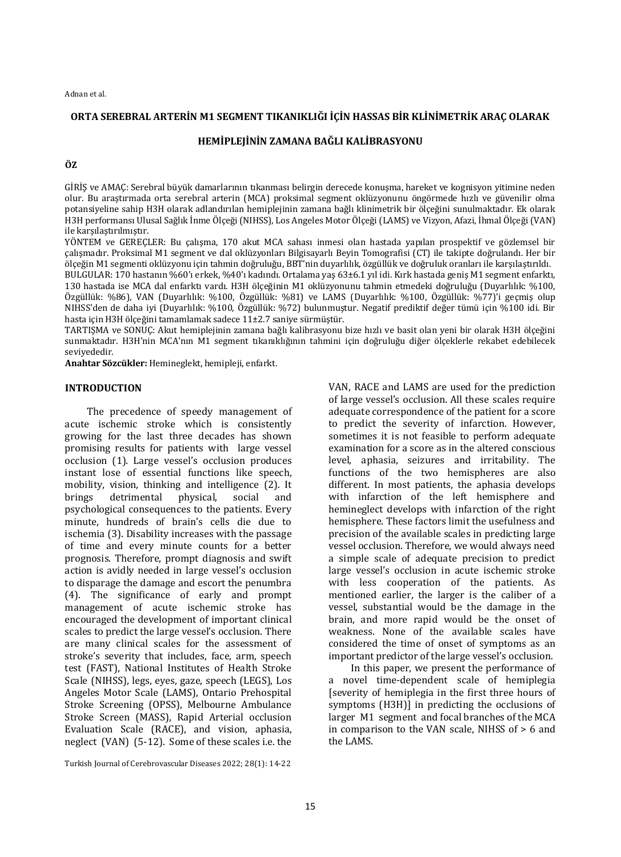# **ORTA SEREBRAL ARTERİN M1 SEGMENT TIKANIKLIĞI İÇİN HASSAS BİR KLİNİMETRİK ARAÇ OLARAK**

# **HEMİPLEJİNİN ZAMANA BAĞLI KALİBRASYONU**

**ÖZ**

GİRİŞ ve AMAÇ: Serebral büyük damarlarının tıkanması belirgin derecede konuşma, hareket ve kognisyon yitimine neden olur. Bu araştırmada orta serebral arterin (MCA) proksimal segment oklüzyonunu öngörmede hızlı ve güvenilir olma potansiyeline sahip H3H olarak adlandırılan hemiplejinin zamana bağlı klinimetrik bir ölçeğini sunulmaktadır. Ek olarak H3H performansı Ulusal Sağlık İnme Ölçeği (NIHSS), Los Angeles Motor Ölçeği (LAMS) ve Vizyon, Afazi, İhmal Ölçeği (VAN) ile karşılaştırılmıştır.

YÖNTEM ve GEREÇLER: Bu çalışma, 170 akut MCA sahası inmesi olan hastada yapılan prospektif ve gözlemsel bir çalışmadır. Proksimal M1 segment ve dal oklüzyonları Bilgisayarlı Beyin Tomografisi (CT) ile takipte doğrulandı. Her bir ölçeğin M1 segmenti oklüzyonu için tahmin doğruluğu, BBT'nin duyarlılık, özgüllük ve doğruluk oranları ile karşılaştırıldı. BULGULAR: 170 hastanın %60'ı erkek, %40'ı kadındı. Ortalama yaş 63±6.1 yıl idi. Kırk hastada geniş M1 segment enfarktı, 130 hastada ise MCA dal enfarktı vardı. H3H ölçeğinin M1 oklüzyonunu tahmin etmedeki doğruluğu (Duyarlılık: %100, Özgüllük: %86), VAN (Duyarlılık: %100, Özgüllük: %81) ve LAMS (Duyarlılık: %100, Özgüllük: %77)'i geçmiş olup NIHSS'den de daha iyi (Duyarlılık: %100, Özgüllük: %72) bulunmuştur. Negatif prediktif değer tümü için %100 idi. Bir hasta için H3H ölçeğini tamamlamak sadece 11±2.7 saniye sürmüştür.

TARTIŞMA ve SONUÇ: Akut hemiplejinin zamana bağlı kalibrasyonu bize hızlı ve basit olan yeni bir olarak H3H ölçeğini sunmaktadır. H3H'nin MCA'nın M1 segment tıkanıklığının tahmini için doğruluğu diğer ölçeklerle rekabet edebilecek seviyededir.

**Anahtar Sözcükler:** Hemineglekt, hemipleji, enfarkt.

#### **INTRODUCTION**

The precedence of speedy management of acute ischemic stroke which is consistently growing for the last three decades has shown promising results for patients with large vessel occlusion (1). Large vessel's occlusion produces instant lose of essential functions like speech, mobility, vision, thinking and intelligence (2). It brings detrimental physical, social and psychological consequences to the patients. Every minute, hundreds of brain's cells die due to ischemia (3). Disability increases with the passage of time and every minute counts for a better prognosis. Therefore, prompt diagnosis and swift action is avidly needed in large vessel's occlusion to disparage the damage and escort the penumbra (4). The significance of early and prompt management of acute ischemic stroke has encouraged the development of important clinical scales to predict the large vessel's occlusion. There are many clinical scales for the assessment of stroke's severity that includes, face, arm, speech test (FAST), National Institutes of Health Stroke Scale (NIHSS), legs, eyes, gaze, speech (LEGS), Los Angeles Motor Scale (LAMS), Ontario Prehospital Stroke Screening (OPSS), Melbourne Ambulance Stroke Screen (MASS), Rapid Arterial occlusion Evaluation Scale (RACE), and vision, aphasia, neglect (VAN) (5-12). Some of these scales i.e. the

Turkish Journal of Cerebrovascular Diseases 2022; 28(1): 14-22

VAN, RACE and LAMS are used for the prediction of large vessel's occlusion. All these scales require adequate correspondence of the patient for a score to predict the severity of infarction. However, sometimes it is not feasible to perform adequate examination for a score as in the altered conscious level, aphasia, seizures and irritability. The functions of the two hemispheres are also different. In most patients, the aphasia develops with infarction of the left hemisphere and hemineglect develops with infarction of the right hemisphere. These factors limit the usefulness and precision of the available scales in predicting large vessel occlusion. Therefore, we would always need a simple scale of adequate precision to predict large vessel's occlusion in acute ischemic stroke with less cooperation of the patients. As mentioned earlier, the larger is the caliber of a vessel, substantial would be the damage in the brain, and more rapid would be the onset of weakness. None of the available scales have considered the time of onset of symptoms as an important predictor of the large vessel's occlusion.

In this paper, we present the performance of a novel time-dependent scale of hemiplegia [severity of hemiplegia in the first three hours of symptoms (H3H)] in predicting the occlusions of larger M1 segment and focal branches of the MCA in comparison to the VAN scale, NIHSS of > 6 and the LAMS.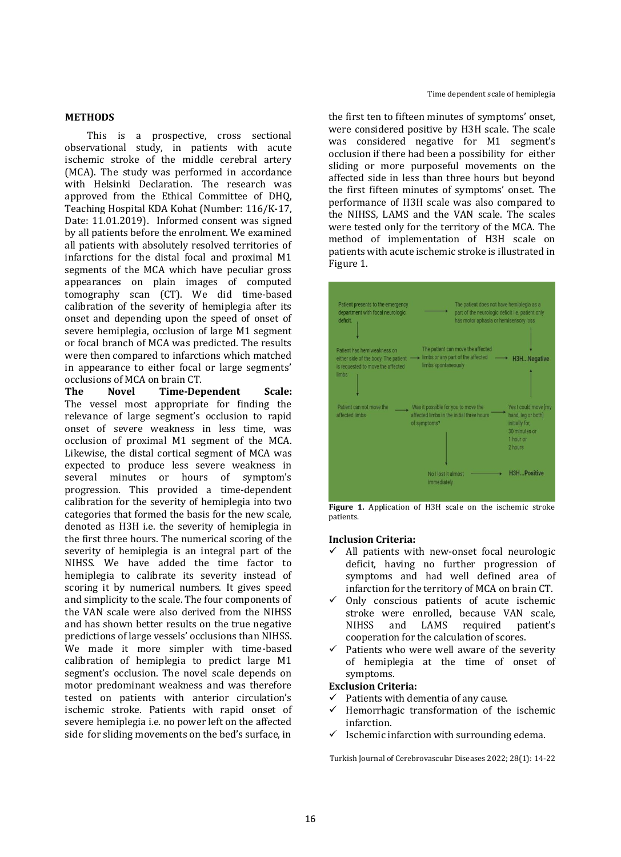### **METHODS**

This is a prospective, cross sectional observational study, in patients with acute ischemic stroke of the middle cerebral artery (MCA). The study was performed in accordance with Helsinki Declaration. The research was approved from the Ethical Committee of DHQ, Teaching Hospital KDA Kohat (Number: 116/K-17, Date: 11.01.2019). Informed consent was signed by all patients before the enrolment. We examined all patients with absolutely resolved territories of infarctions for the distal focal and proximal M1 segments of the MCA which have peculiar gross appearances on plain images of computed tomography scan (CT). We did time-based calibration of the severity of hemiplegia after its onset and depending upon the speed of onset of severe hemiplegia, occlusion of large M1 segment or focal branch of MCA was predicted. The results were then compared to infarctions which matched in appearance to either focal or large segments' occlusions of MCA on brain CT.

**The Novel Time-Dependent Scale:**  The vessel most appropriate for finding the relevance of large segment's occlusion to rapid onset of severe weakness in less time, was occlusion of proximal M1 segment of the MCA. Likewise, the distal cortical segment of MCA was expected to produce less severe weakness in several minutes or hours of symptom's progression. This provided a time-dependent calibration for the severity of hemiplegia into two categories that formed the basis for the new scale, denoted as H3H i.e. the severity of hemiplegia in the first three hours. The numerical scoring of the severity of hemiplegia is an integral part of the NIHSS. We have added the time factor to hemiplegia to calibrate its severity instead of scoring it by numerical numbers. It gives speed and simplicity to the scale. The four components of the VAN scale were also derived from the NIHSS and has shown better results on the true negative predictions of large vessels' occlusions than NIHSS. We made it more simpler with time-based calibration of hemiplegia to predict large M1 segment's occlusion. The novel scale depends on motor predominant weakness and was therefore tested on patients with anterior circulation's ischemic stroke. Patients with rapid onset of severe hemiplegia i.e. no power left on the affected side for sliding movements on the bed's surface, in

the first ten to fifteen minutes of symptoms' onset, were considered positive by H3H scale. The scale was considered negative for M1 segment's occlusion if there had been a possibility for either sliding or more purposeful movements on the affected side in less than three hours but beyond the first fifteen minutes of symptoms' onset. The performance of H3H scale was also compared to the NIHSS, LAMS and the VAN scale. The scales were tested only for the territory of the MCA. The method of implementation of H3H scale on patients with acute ischemic stroke is illustrated in Figure 1.



**Figure 1.** Application of H3H scale on the ischemic stroke patients.

### **Inclusion Criteria:**

- All patients with new-onset focal neurologic deficit, having no further progression of symptoms and had well defined area of infarction for the territory of MCA on brain CT.
- Only conscious patients of acute ischemic stroke were enrolled, because VAN scale, NIHSS and LAMS required patient's cooperation for the calculation of scores.
- Patients who were well aware of the severity of hemiplegia at the time of onset of symptoms.

### **Exclusion Criteria:**

- $\checkmark$  Patients with dementia of any cause.
- $\checkmark$  Hemorrhagic transformation of the ischemic infarction.
- $\checkmark$  Ischemic infarction with surrounding edema.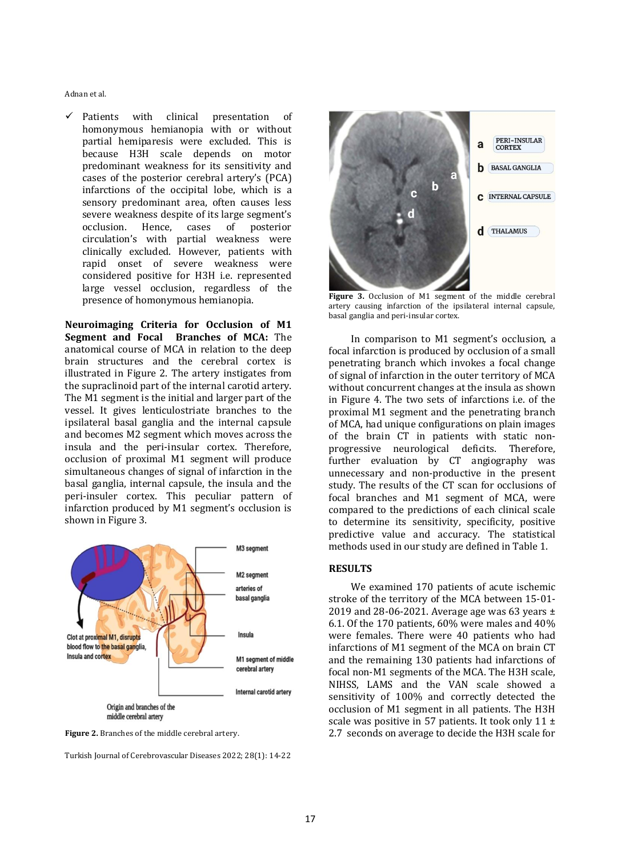$\checkmark$  Patients with clinical presentation of homonymous hemianopia with or without partial hemiparesis were excluded. This is because H3H scale depends on motor predominant weakness for its sensitivity and cases of the posterior cerebral artery's (PCA) infarctions of the occipital lobe, which is a sensory predominant area, often causes less severe weakness despite of its large segment's occlusion. Hence, cases of posterior circulation's with partial weakness were clinically excluded. However, patients with rapid onset of severe weakness were considered positive for H3H i.e. represented large vessel occlusion, regardless of the presence of homonymous hemianopia.

**Neuroimaging Criteria for Occlusion of M1 Segment and Focal Branches of MCA:** The anatomical course of MCA in relation to the deep brain structures and the cerebral cortex is illustrated in Figure 2. The artery instigates from the supraclinoid part of the internal carotid artery. The M1 segment is the initial and larger part of the vessel. It gives lenticulostriate branches to the ipsilateral basal ganglia and the internal capsule and becomes M2 segment which moves across the insula and the peri-insular cortex. Therefore, occlusion of proximal M1 segment will produce simultaneous changes of signal of infarction in the basal ganglia, internal capsule, the insula and the peri-insuler cortex. This peculiar pattern of infarction produced by M1 segment's occlusion is shown in Figure 3.





Turkish Journal of Cerebrovascular Diseases 2022; 28(1): 14-22



**Figure 3.** Occlusion of M1 segment of the middle cerebral artery causing infarction of the ipsilateral internal capsule, basal ganglia and peri-insular cortex.

In comparison to M1 segment's occlusion, a focal infarction is produced by occlusion of a small penetrating branch which invokes a focal change of signal of infarction in the outer territory of MCA without concurrent changes at the insula as shown in Figure 4. The two sets of infarctions i.e. of the proximal M1 segment and the penetrating branch of MCA, had unique configurations on plain images of the brain CT in patients with static nonprogressive neurological deficits. Therefore, further evaluation by CT angiography was unnecessary and non-productive in the present study. The results of the CT scan for occlusions of focal branches and M1 segment of MCA, were compared to the predictions of each clinical scale to determine its sensitivity, specificity, positive predictive value and accuracy. The statistical methods used in our study are defined in Table 1.

#### **RESULTS**

We examined 170 patients of acute ischemic stroke of the territory of the MCA between 15-01- 2019 and 28-06-2021. Average age was 63 years  $\pm$ 6.1. Of the 170 patients, 60% were males and 40% were females. There were 40 patients who had infarctions of M1 segment of the MCA on brain CT and the remaining 130 patients had infarctions of focal non-M1 segments of the MCA. The H3H scale, NIHSS, LAMS and the VAN scale showed a sensitivity of 100% and correctly detected the occlusion of M1 segment in all patients. The H3H scale was positive in 57 patients. It took only 11  $\pm$ 2.7 seconds on average to decide the H3H scale for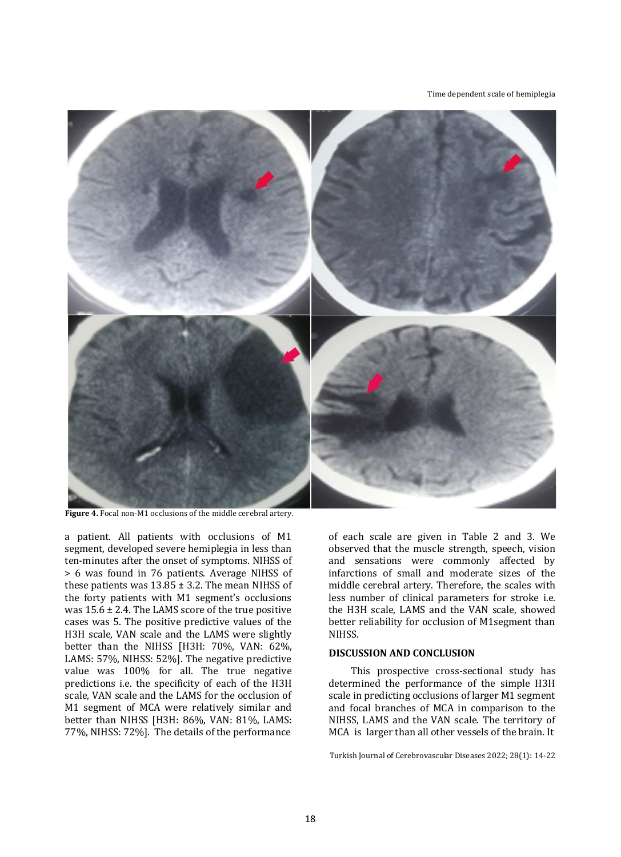#### Time dependent scale of hemiplegia



**Figure 4.** Focal non-M1 occlusions of the middle cerebral artery.

a patient. All patients with occlusions of M1 segment, developed severe hemiplegia in less than ten-minutes after the onset of symptoms. NIHSS of > 6 was found in 76 patients. Average NIHSS of these patients was  $13.85 \pm 3.2$ . The mean NIHSS of the forty patients with M1 segment's occlusions was  $15.6 \pm 2.4$ . The LAMS score of the true positive cases was 5. The positive predictive values of the H3H scale, VAN scale and the LAMS were slightly better than the NIHSS [H3H: 70%, VAN: 62%, LAMS: 57%, NIHSS: 52%]. The negative predictive value was 100% for all. The true negative predictions i.e. the specificity of each of the H3H scale, VAN scale and the LAMS for the occlusion of M1 segment of MCA were relatively similar and better than NIHSS [H3H: 86%, VAN: 81%, LAMS: 77%, NIHSS: 72%]. The details of the performance

of each scale are given in Table 2 and 3. We observed that the muscle strength, speech, vision and sensations were commonly affected by infarctions of small and moderate sizes of the middle cerebral artery. Therefore, the scales with less number of clinical parameters for stroke i.e. the H3H scale, LAMS and the VAN scale, showed better reliability for occlusion of M1segment than NIHSS.

# **DISCUSSION AND CONCLUSION**

This prospective cross-sectional study has determined the performance of the simple H3H scale in predicting occlusions of larger M1 segment and focal branches of MCA in comparison to the NIHSS, LAMS and the VAN scale. The territory of MCA is larger than all other vessels of the brain. It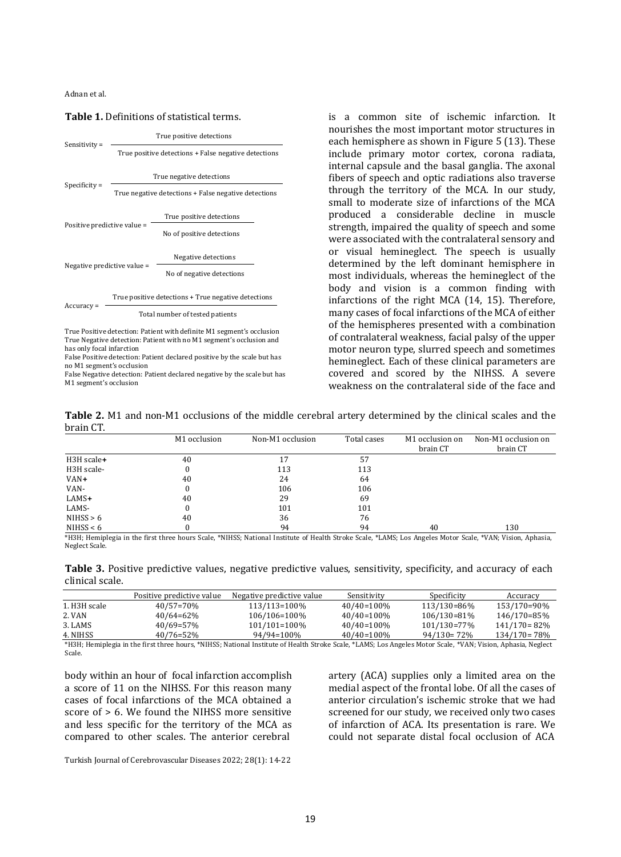# True positive detections Sensitivity = True positive detections + False negative detections True negative detections Specificity = True negative detections + False negative detections True positive detections Positive predictive value = No of positive detections Negative detections Negative predictive value = No of negative detections True positive detections + True negative detections Accuracy = Total number of tested patients True Positive detection: Patient with definite M1 segment's occlusion True Negative detection: Patient with no M1 segment's occlusion and

**Table 1.** Definitions of statistical terms.

has only focal infarction False Positive detection: Patient declared positive by the scale but has

no M1 segment's occlusion False Negative detection: Patient declared negative by the scale but has M1 segment's occlusion

is a common site of ischemic infarction. It nourishes the most important motor structures in each hemisphere as shown in Figure 5 (13). These include primary motor cortex, corona radiata, internal capsule and the basal ganglia. The axonal fibers of speech and optic radiations also traverse through the territory of the MCA. In our study, small to moderate size of infarctions of the MCA produced a considerable decline in muscle strength, impaired the quality of speech and some were associated with the contralateral sensory and or visual hemineglect. The speech is usually determined by the left dominant hemisphere in most individuals, whereas the hemineglect of the body and vision is a common finding with infarctions of the right MCA (14, 15). Therefore, many cases of focal infarctions of the MCA of either of the hemispheres presented with a combination of contralateral weakness, facial palsy of the upper motor neuron type, slurred speech and sometimes hemineglect. Each of these clinical parameters are covered and scored by the NIHSS. A severe weakness on the contralateral side of the face and

**Table 2.** M1 and non-M1 occlusions of the middle cerebral artery determined by the clinical scales and the brain CT.

|             | M1 occlusion | Non-M1 occlusion | Total cases | M1 occlusion on<br>brain CT | Non-M1 occlusion on<br>brain CT |
|-------------|--------------|------------------|-------------|-----------------------------|---------------------------------|
| H3H scale+  | 40           | 17               | 57          |                             |                                 |
| H3H scale-  | 0            | 113              | 113         |                             |                                 |
| VAN+        | 40           | 24               | 64          |                             |                                 |
| VAN-        | $\theta$     | 106              | 106         |                             |                                 |
| $LAMS+$     | 40           | 29               | 69          |                             |                                 |
| LAMS-       | 0            | 101              | 101         |                             |                                 |
| NIHSS > 6   | 40           | 36               | 76          |                             |                                 |
| NIHSS $< 6$ | 0            | 94               | 94          | 40                          | 130                             |

\*H3H; Hemiplegia in the first three hours Scale, \*NIHSS; National Institute of Health Stroke Scale, \*LAMS; Los Angeles Motor Scale, \*VAN; Vision, Aphasia, Neglect Scale.

**Table 3.** Positive predictive values, negative predictive values, sensitivity, specificity, and accuracy of each clinical scale.

|               | Positive predictive value | Negative predictive value | Sensitivity   | Specificity     | Accuracy         |
|---------------|---------------------------|---------------------------|---------------|-----------------|------------------|
| 1. H3H scale- | $40/57=70%$               | 113/113=100\%             | 40/40=100%    | 113/130=86%     | 153/170=90%      |
| 2. VAN        | $40/64=62\%$              | 106/106=100\%             | 40/40=100%    | 106/130=81%     | 146/170=85%      |
| 3. LAMS       | $40/69 = 57\%$            | 101/101=100\%             | $40/40=100\%$ | 101/130=77%     | $141/170=82\%$   |
| 4. NIHSS      | $40/76 = 52\%$            | 94/94=100%                | 40/40=100%    | $94/130 = 72\%$ | $134/170 = 78\%$ |

\*H3H; Hemiplegia in the first three hours, \*NIHSS; National Institute of Health Stroke Scale, \*LAMS; Los Angeles Motor Scale, \*VAN; Vision, Aphasia, Neglect Scale.

body within an hour of focal infarction accomplish a score of 11 on the NIHSS. For this reason many cases of focal infarctions of the MCA obtained a score of > 6. We found the NIHSS more sensitive and less specific for the territory of the MCA as compared to other scales. The anterior cerebral

artery (ACA) supplies only a limited area on the medial aspect of the frontal lobe. Of all the cases of anterior circulation's ischemic stroke that we had screened for our study, we received only two cases of infarction of ACA. Its presentation is rare. We could not separate distal focal occlusion of ACA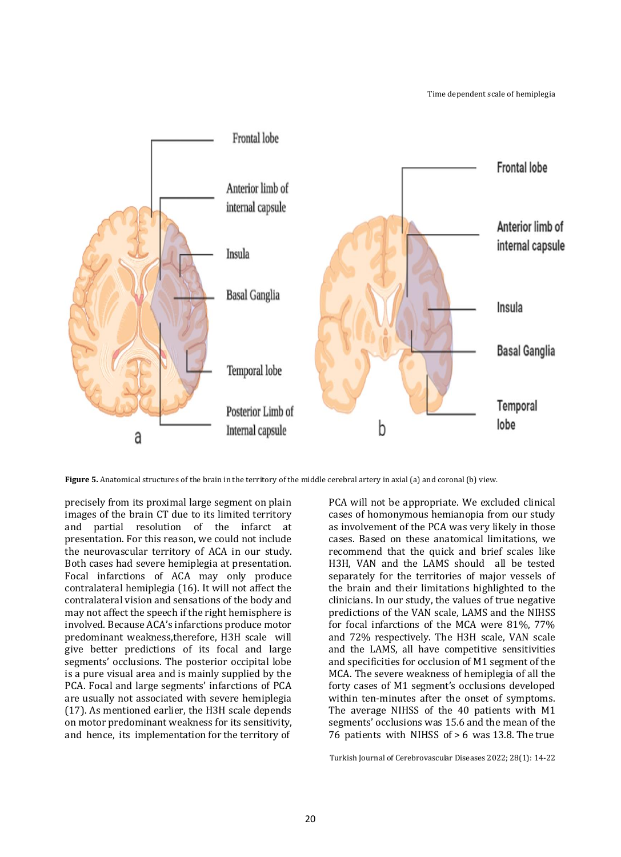

**Figure 5.** Anatomical structures of the brain in the territory of the middle cerebral artery in axial (a) and coronal (b) view.

precisely from its proximal large segment on plain images of the brain CT due to its limited territory and partial resolution of the infarct at presentation. For this reason, we could not include the neurovascular territory of ACA in our study. Both cases had severe hemiplegia at presentation. Focal infarctions of ACA may only produce contralateral hemiplegia (16). It will not affect the contralateral vision and sensations of the body and may not affect the speech if the right hemisphere is involved. Because ACA's infarctions produce motor predominant weakness,therefore, H3H scale will give better predictions of its focal and large segments' occlusions. The posterior occipital lobe is a pure visual area and is mainly supplied by the PCA. Focal and large segments' infarctions of PCA are usually not associated with severe hemiplegia (17). As mentioned earlier, the H3H scale depends on motor predominant weakness for its sensitivity, and hence, its implementation for the territory of

PCA will not be appropriate. We excluded clinical cases of homonymous hemianopia from our study as involvement of the PCA was very likely in those cases. Based on these anatomical limitations, we recommend that the quick and brief scales like H3H, VAN and the LAMS should all be tested separately for the territories of major vessels of the brain and their limitations highlighted to the clinicians. In our study, the values of true negative predictions of the VAN scale, LAMS and the NIHSS for focal infarctions of the MCA were 81%, 77% and 72% respectively. The H3H scale, VAN scale and the LAMS, all have competitive sensitivities and specificities for occlusion of M1 segment of the MCA. The severe weakness of hemiplegia of all the forty cases of M1 segment's occlusions developed within ten-minutes after the onset of symptoms. The average NIHSS of the 40 patients with M1 segments' occlusions was 15.6 and the mean of the 76 patients with NIHSS of > 6 was 13.8. The true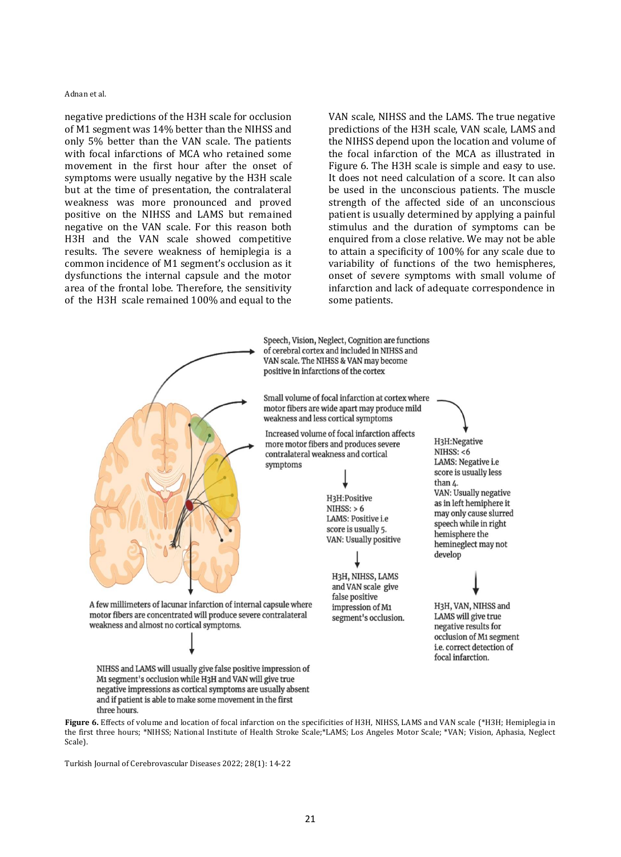negative predictions of the H3H scale for occlusion of M1 segment was 14% better than the NIHSS and only 5% better than the VAN scale. The patients with focal infarctions of MCA who retained some movement in the first hour after the onset of symptoms were usually negative by the H3H scale but at the time of presentation, the contralateral weakness was more pronounced and proved positive on the NIHSS and LAMS but remained negative on the VAN scale. For this reason both H3H and the VAN scale showed competitive results. The severe weakness of hemiplegia is a common incidence of M1 segment's occlusion as it dysfunctions the internal capsule and the motor area of the frontal lobe. Therefore, the sensitivity of the H3H scale remained 100% and equal to the

VAN scale, NIHSS and the LAMS. The true negative predictions of the H3H scale, VAN scale, LAMS and the NIHSS depend upon the location and volume of the focal infarction of the MCA as illustrated in Figure 6. The H3H scale is simple and easy to use. It does not need calculation of a score. It can also be used in the unconscious patients. The muscle strength of the affected side of an unconscious patient is usually determined by applying a painful stimulus and the duration of symptoms can be enquired from a close relative. We may not be able to attain a specificity of 100% for any scale due to variability of functions of the two hemispheres, onset of severe symptoms with small volume of infarction and lack of adequate correspondence in some patients.



**Figure 6.** Effects of volume and location of focal infarction on the specificities of H3H, NIHSS, LAMS and VAN scale (\*H3H; Hemiplegia in the first three hours; \*NIHSS; National Institute of Health Stroke Scale;\*LAMS; Los Angeles Motor Scale; \*VAN; Vision, Aphasia, Neglect Scale).